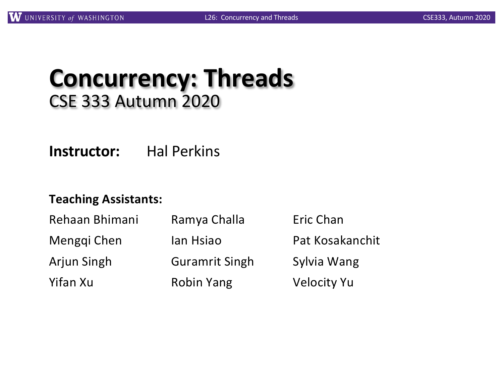## **Concurrency: Threads** CSE 333 Autumn 2020

**Instructor:** Hal Perkins

#### **Teaching Assistants:**

| Rehaan Bhimani | Ramya Challa          | Eric Chan          |  |
|----------------|-----------------------|--------------------|--|
| Menggi Chen    | lan Hsiao             | Pat Kosakanchit    |  |
| Arjun Singh    | <b>Guramrit Singh</b> | Sylvia Wang        |  |
| Yifan Xu       | <b>Robin Yang</b>     | <b>Velocity Yu</b> |  |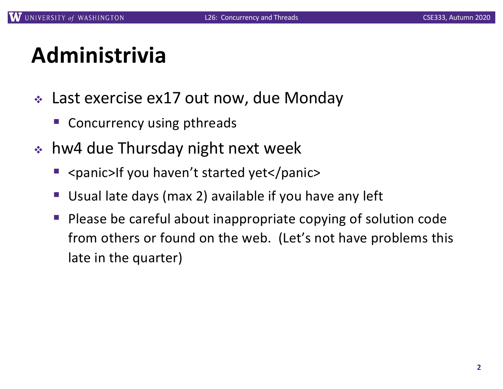# **Administrivia**

- $\div$  Last exercise ex17 out now, due Monday
	- Concurrency using pthreads
- $\cdot$  hw4 due Thursday night next week
	- <panic>If you haven't started yet</panic>
	- Usual late days (max 2) available if you have any left
	- § Please be careful about inappropriate copying of solution code from others or found on the web. (Let's not have problems this late in the quarter)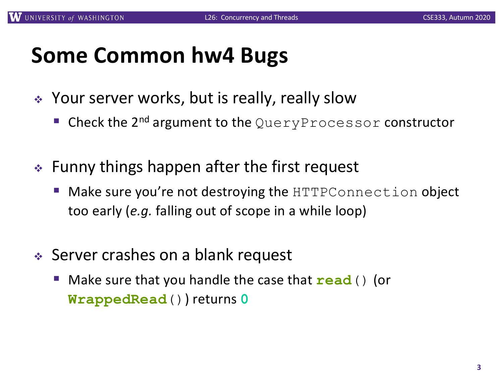## **Some Common hw4 Bugs**

- ◆ Your server works, but is really, really slow
	- Check the 2<sup>nd</sup> argument to the QueryProcessor constructor
- $\div$  Funny things happen after the first request
	- Make sure you're not destroying the HTTPConnection object too early (*e.g.* falling out of scope in a while loop)
- ◆ Server crashes on a blank request
	- § Make sure that you handle the case that **read**() (or **WrappedRead**()) returns **0**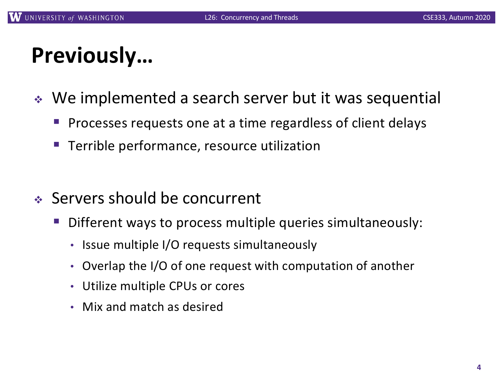## **Previously…**

- ◆ We implemented a search server but it was sequential
	- § Processes requests one at a time regardless of client delays
	- Terrible performance, resource utilization
- ◆ Servers should be concurrent
	- Different ways to process multiple queries simultaneously:
		- Issue multiple I/O requests simultaneously
		- Overlap the I/O of one request with computation of another
		- Utilize multiple CPUs or cores
		- Mix and match as desired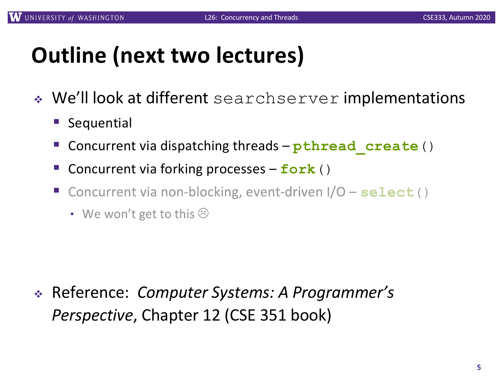# **Outline (next two lectures)**

- ◆ We'll look at different searchserver implementations
	- Sequential
	- § Concurrent via dispatching threads **pthread\_create**()
	- § Concurrent via forking processes **fork**()
	- § Concurrent via non-blocking, event-driven  $1/O - select()$ 
		- We won't get to this  $\odot$

<sup>v</sup> Reference: *Computer Systems: A Programmer's Perspective*, Chapter 12 (CSE 351 book)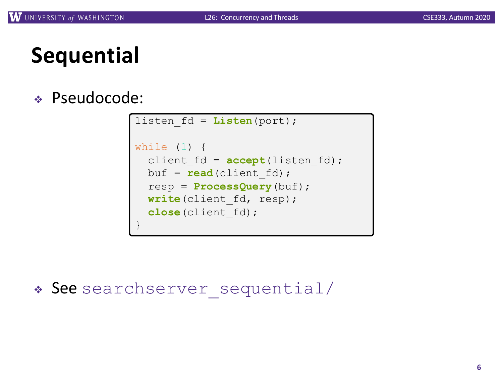# **Sequential**

#### <sup>v</sup> Pseudocode:

```
listen_fd = Listen(port);
while (1) {
  client fd = accept(listen fd);
  buf = read(client fd);
  resp = ProcessQuery(buf);
  write(client fd, resp);
  close(client_fd);
}
```
\* See searchserver sequential/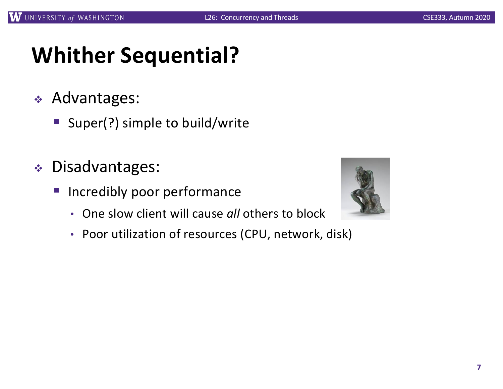# **Whither Sequential?**

- <sup>v</sup> Advantages:
	- Super(?) simple to build/write
- <sup>v</sup> Disadvantages:
	- **Incredibly poor performance** 
		- One slow client will cause *all* others to block
		- Poor utilization of resources (CPU, network, disk)

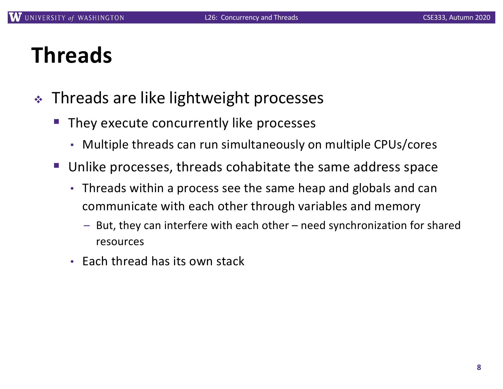## **Threads**

- **Exercise 13 Threads are like lightweight processes** 
	- They execute concurrently like processes
		- Multiple threads can run simultaneously on multiple CPUs/cores
	- § Unlike processes, threads cohabitate the same address space
		- Threads within a process see the same heap and globals and can communicate with each other through variables and memory
			- But, they can interfere with each other need synchronization for shared resources
		- Each thread has its own stack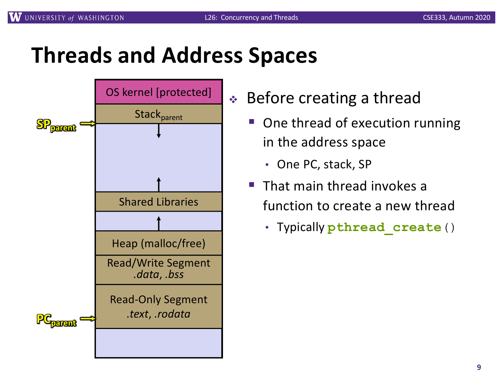## **Threads and Address Spaces**



- $\triangleleft$  Before creating a thread
	- § One thread of execution running in the address space
		- One PC, stack, SP
	- § That main thread invokes a function to create a new thread
		- Typically **pthread\_create**()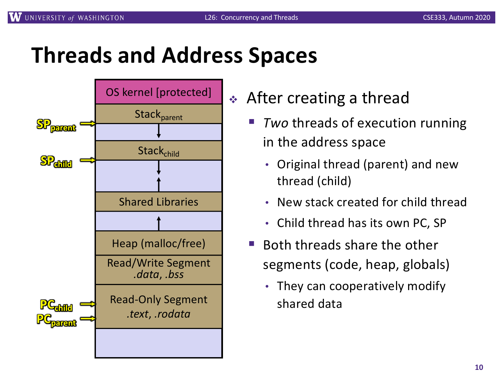## **Threads and Address Spaces**



- After creating a thread
	- **Two threads of execution running** in the address space
		- Original thread (parent) and new thread (child)
		- New stack created for child thread
		- Child thread has its own PC, SP
	- § Both threads share the other segments (code, heap, globals)
		- They can cooperatively modify shared data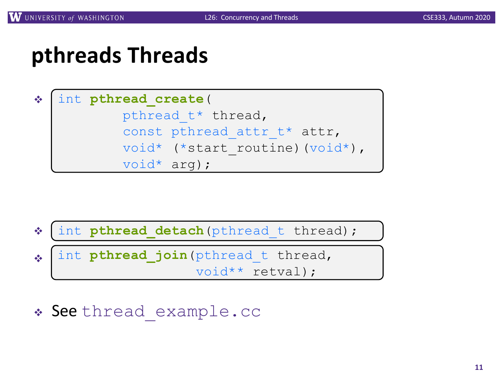## **pthreads Threads**

#### $\frac{1}{2}$ int **pthread\_create**( pthread t\* thread, const pthread attr t\* attr, void\* (\*start\_routine)(void\*), void\* arg);



\* See thread example.cc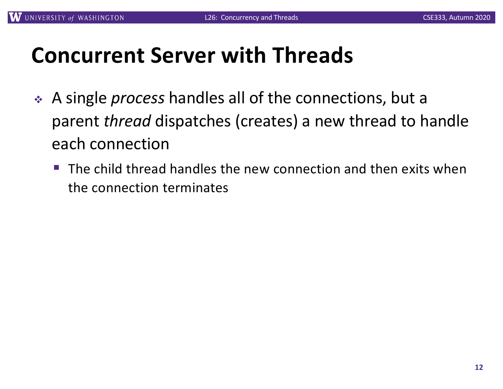## **Concurrent Server with Threads**

- <sup>v</sup> A single *process* handles all of the connections, but a parent *thread* dispatches (creates) a new thread to handle each connection
	- The child thread handles the new connection and then exits when the connection terminates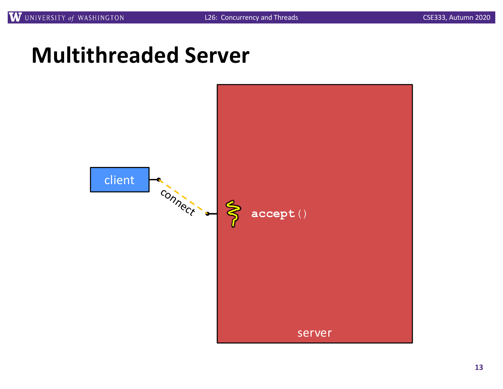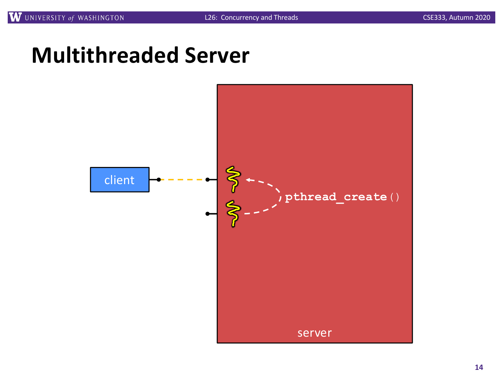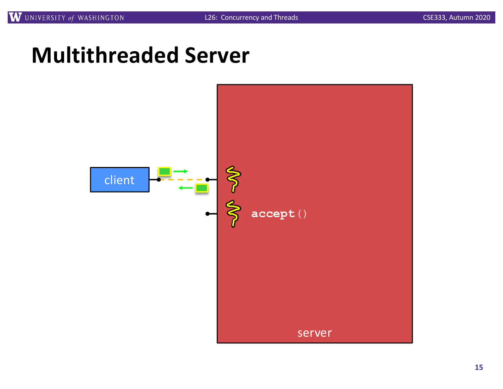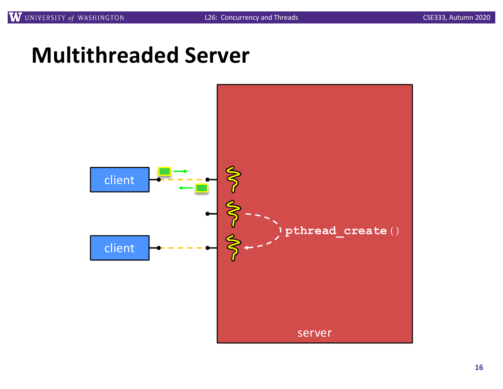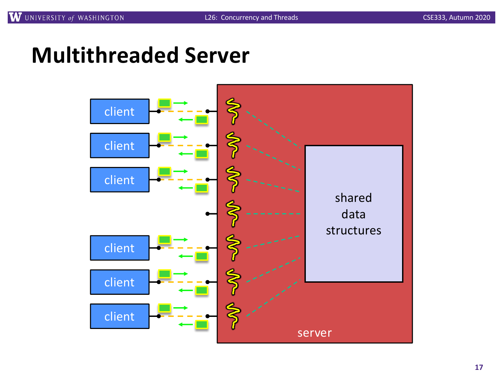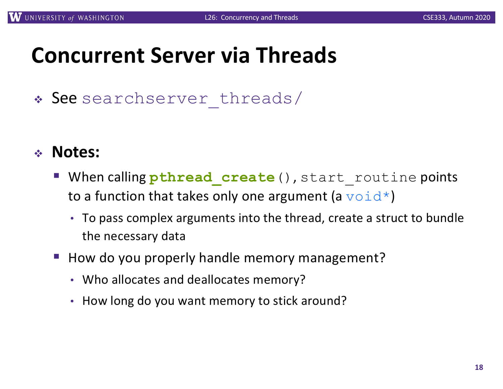## **Concurrent Server via Threads**

\* See searchserver threads/

#### <sup>v</sup> **Notes:**

- **When calling pthread create** (), start routine points to a function that takes only one argument (a  $\text{void*}$ )
	- To pass complex arguments into the thread, create a struct to bundle the necessary data
- How do you properly handle memory management?
	- Who allocates and deallocates memory?
	- How long do you want memory to stick around?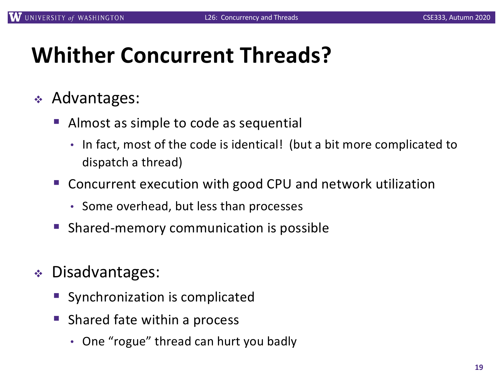# **Whither Concurrent Threads?**

- ◆ Advantages:
	- § Almost as simple to code as sequential
		- In fact, most of the code is identical! (but a bit more complicated to dispatch a thread)
	- Concurrent execution with good CPU and network utilization
		- Some overhead, but less than processes
	- § Shared-memory communication is possible
- <sup>v</sup> Disadvantages:
	- Synchronization is complicated
	- § Shared fate within a process
		- One "rogue" thread can hurt you badly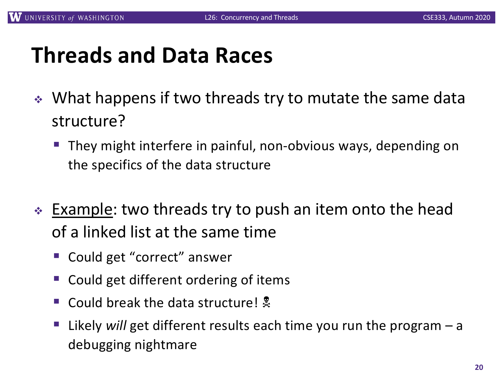## **Threads and Data Races**

- $\cdot$  What happens if two threads try to mutate the same data structure?
	- § They might interfere in painful, non-obvious ways, depending on the specifics of the data structure
- ∗ Example: two threads try to push an item onto the head of a linked list at the same time
	- Could get "correct" answer
	- § Could get different ordering of items
	- Could break the data structure!  $\frac{1}{2}$
	- § Likely *will* get different results each time you run the program a debugging nightmare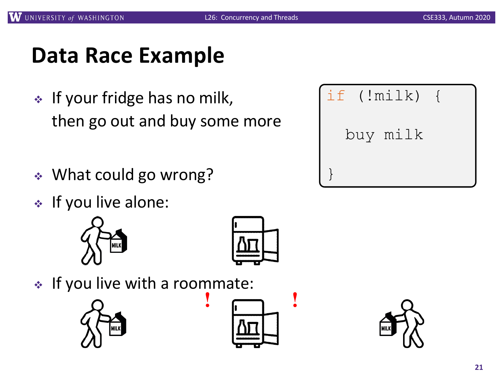## **Data Race Example**

- $\cdot$  If your fridge has no milk, then go out and buy some more
- ↓ What could go wrong?
- $\cdot$  If you live alone:





 $\cdot$  If you live with a roommate:







| if (!milk) { |  |
|--------------|--|
| buy milk     |  |
|              |  |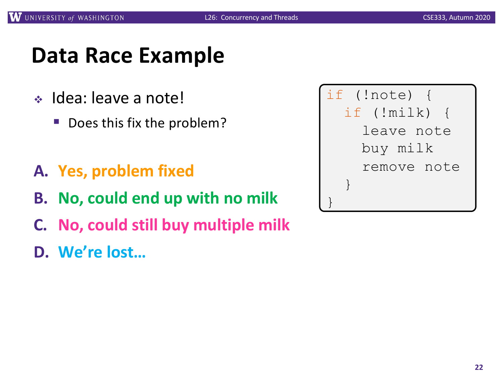## **Data Race Example**

- ◆ Idea: leave a note!
	- Does this fix the problem?
- **A. Yes, problem fixed**
- **B. No, could end up with no milk**
- **C. No, could still buy multiple milk**
- **D. We're lost…**

| if (!note) {          |
|-----------------------|
| if $(\text{!milk})$ { |
| leave note            |
| buy milk              |
| remove note           |
|                       |
|                       |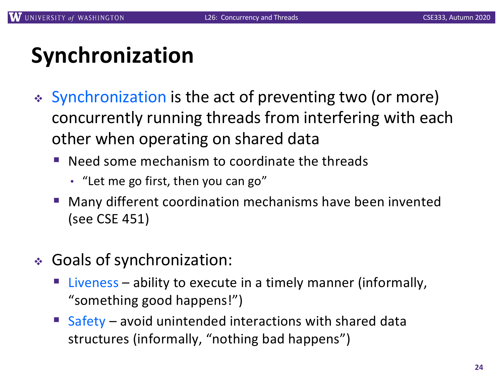# **Synchronization**

- Synchronization is the act of preventing two (or more) concurrently running threads from interfering with each other when operating on shared data
	- Need some mechanism to coordinate the threads
		- "Let me go first, then you can go"
	- § Many different coordination mechanisms have been invented (see CSE 451)
- <sup>v</sup> Goals of synchronization:
	- Liveness ability to execute in a timely manner (informally, "something good happens!")
	- Safety avoid unintended interactions with shared data structures (informally, "nothing bad happens")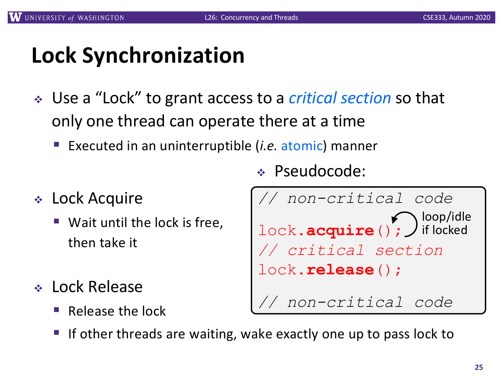# **Lock Synchronization**

- <sup>v</sup> Use a "Lock" to grant access to a *critical section* so that only one thread can operate there at a time
	- § Executed in an uninterruptible (*i.e.* atomic) manner
- $\div$  Lock Acquire
	- Wait until the lock is free, then take it
- <sup>v</sup> Lock Release
	- § Release the lock

```
v Pseudocode:
```

```
// non-critical code
lock.acquire (); J if locked
// critical section
lock.release();
   // non-critical code
                    loop/idle
```
If other threads are waiting, wake exactly one up to pass lock to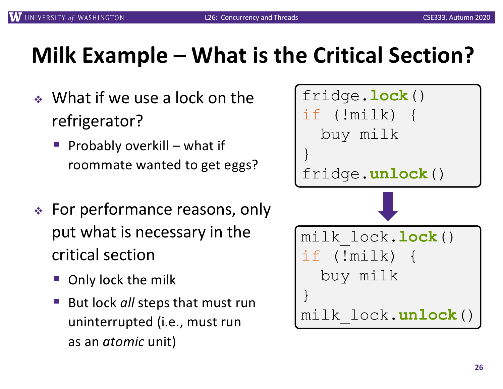# **Milk Example – What is the Critical Section?**

- $\bullet$  What if we use a lock on the refrigerator?
	- § Probably overkill what if roommate wanted to get eggs?
- $\div$  For performance reasons, only put what is necessary in the critical section
	- § Only lock the milk
	- § But lock *all* steps that must run uninterrupted (i.e., must run as an *atomic* unit)

| fridge.lock()<br>if (!milk)<br>buy milk      |
|----------------------------------------------|
| fridge.unlock()                              |
|                                              |
| milk lock.lock()<br>if (!milk) {<br>buy milk |
| $\}$<br>milk lock.unlock()                   |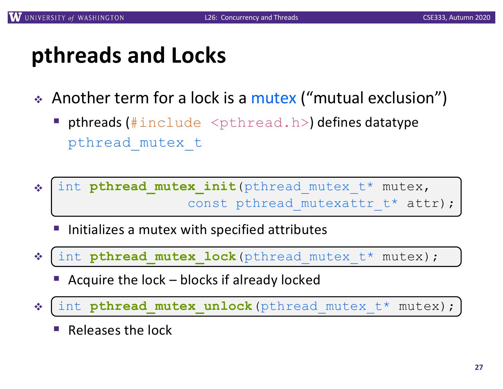## **pthreads and Locks**

- Another term for a lock is a mutex ("mutual exclusion")
	- **pthreads (**#include  $\leq$ pthread.h>) defines datatype pthread\_mutex\_t
- <sup>v</sup> pthread\_mutex\_init() int **pthread\_mutex\_init**(pthread\_mutex\_t\* mutex, const pthread mutexattr t\* attr);
	- § Initializes a mutex with specified attributes
- <sup>v</sup> pthread\_mutex\_lock() int **pthread\_mutex\_lock**(pthread\_mutex\_t\* mutex);
	- § Acquire the lock blocks if already locked
- <sup>v</sup> pthread\_mutex\_unlock() int **pthread\_mutex\_unlock**(pthread\_mutex\_t\* mutex);
	- § Releases the lock